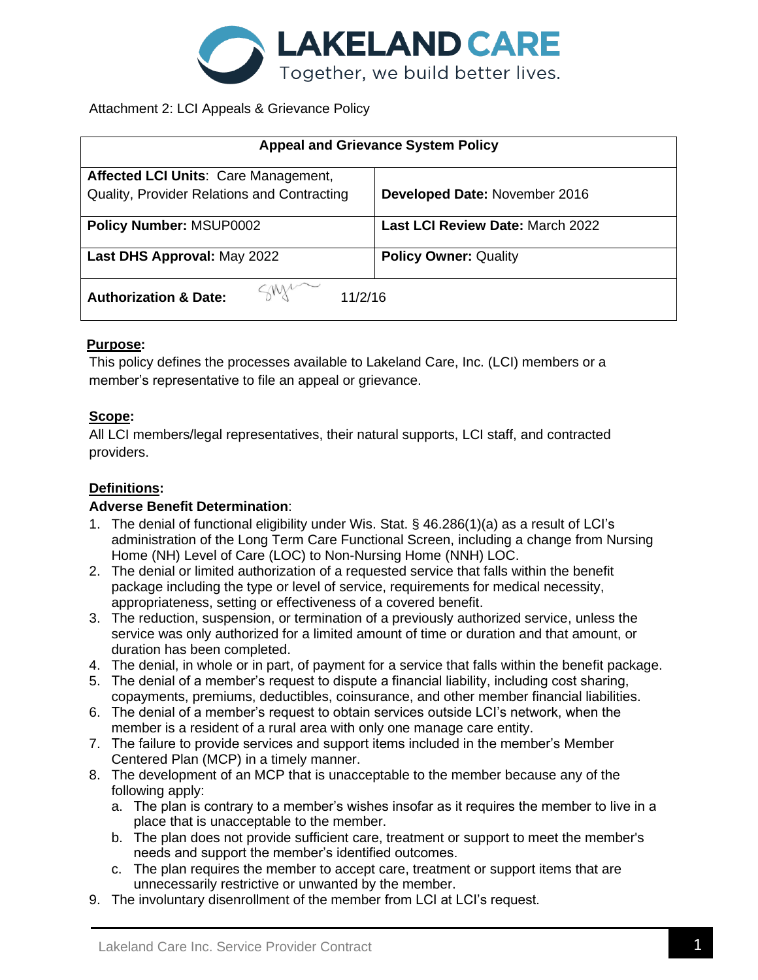

## Attachment 2: LCI Appeals & Grievance Policy

| <b>Appeal and Grievance System Policy</b>   |                                  |
|---------------------------------------------|----------------------------------|
| Affected LCI Units: Care Management,        |                                  |
| Quality, Provider Relations and Contracting | Developed Date: November 2016    |
| <b>Policy Number: MSUP0002</b>              | Last LCI Review Date: March 2022 |
| Last DHS Approval: May 2022                 | <b>Policy Owner: Quality</b>     |
| <b>Authorization &amp; Date:</b><br>11/2/16 |                                  |

### **Purpose:**

This policy defines the processes available to Lakeland Care, Inc. (LCI) members or a member's representative to file an appeal or grievance.

### **Scope:**

All LCI members/legal representatives, their natural supports, LCI staff, and contracted providers.

## **Definitions:**

### **Adverse Benefit Determination**:

- 1. The denial of functional eligibility under Wis. Stat. § 46.286(1)(a) as a result of LCI's administration of the Long Term Care Functional Screen, including a change from Nursing Home (NH) Level of Care (LOC) to Non-Nursing Home (NNH) LOC.
- 2. The denial or limited authorization of a requested service that falls within the benefit package including the type or level of service, requirements for medical necessity, appropriateness, setting or effectiveness of a covered benefit.
- 3. The reduction, suspension, or termination of a previously authorized service, unless the service was only authorized for a limited amount of time or duration and that amount, or duration has been completed.
- 4. The denial, in whole or in part, of payment for a service that falls within the benefit package.
- 5. The denial of a member's request to dispute a financial liability, including cost sharing, copayments, premiums, deductibles, coinsurance, and other member financial liabilities.
- 6. The denial of a member's request to obtain services outside LCI's network, when the member is a resident of a rural area with only one manage care entity.
- 7. The failure to provide services and support items included in the member's Member Centered Plan (MCP) in a timely manner.
- 8. The development of an MCP that is unacceptable to the member because any of the following apply:
	- a. The plan is contrary to a member's wishes insofar as it requires the member to live in a place that is unacceptable to the member.
	- b. The plan does not provide sufficient care, treatment or support to meet the member's needs and support the member's identified outcomes.
	- c. The plan requires the member to accept care, treatment or support items that are unnecessarily restrictive or unwanted by the member.
- 9. The involuntary disenrollment of the member from LCI at LCI's request.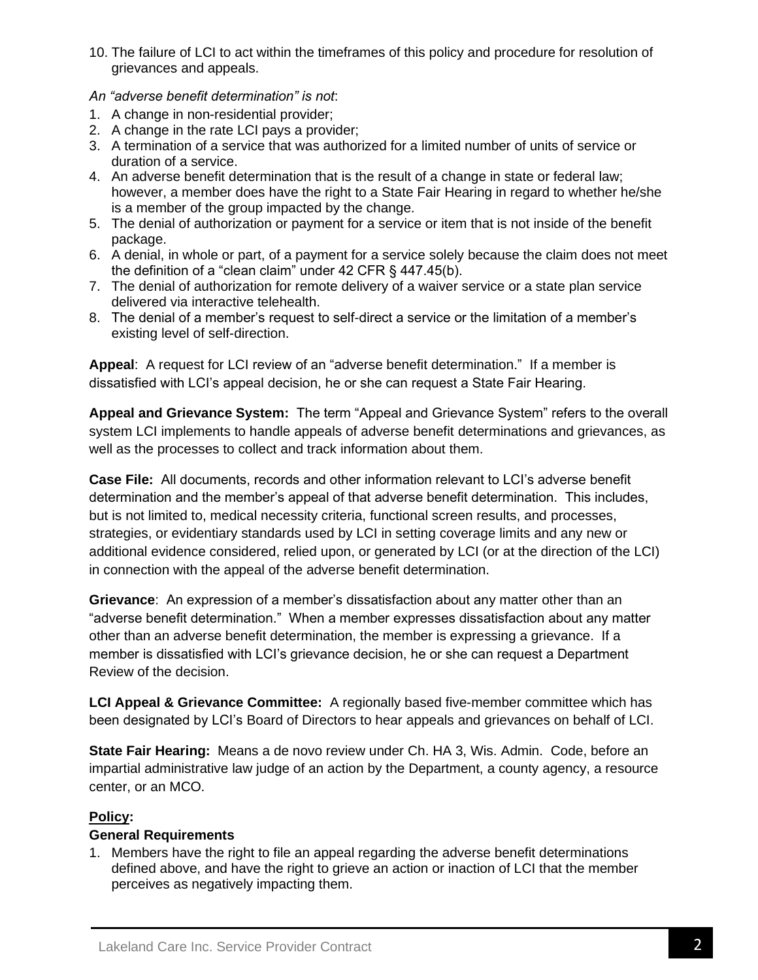- 10. The failure of LCI to act within the timeframes of this policy and procedure for resolution of grievances and appeals.
- *An "adverse benefit determination" is not*:
- 1. A change in non-residential provider;
- 2. A change in the rate LCI pays a provider;
- 3. A termination of a service that was authorized for a limited number of units of service or duration of a service.
- 4. An adverse benefit determination that is the result of a change in state or federal law; however, a member does have the right to a State Fair Hearing in regard to whether he/she is a member of the group impacted by the change.
- 5. The denial of authorization or payment for a service or item that is not inside of the benefit package.
- 6. A denial, in whole or part, of a payment for a service solely because the claim does not meet the definition of a "clean claim" under 42 CFR § 447.45(b).
- 7. The denial of authorization for remote delivery of a waiver service or a state plan service delivered via interactive telehealth.
- 8. The denial of a member's request to self-direct a service or the limitation of a member's existing level of self-direction.

**Appeal**: A request for LCI review of an "adverse benefit determination." If a member is dissatisfied with LCI's appeal decision, he or she can request a State Fair Hearing.

**Appeal and Grievance System:** The term "Appeal and Grievance System" refers to the overall system LCI implements to handle appeals of adverse benefit determinations and grievances, as well as the processes to collect and track information about them.

**Case File:** All documents, records and other information relevant to LCI's adverse benefit determination and the member's appeal of that adverse benefit determination. This includes, but is not limited to, medical necessity criteria, functional screen results, and processes, strategies, or evidentiary standards used by LCI in setting coverage limits and any new or additional evidence considered, relied upon, or generated by LCI (or at the direction of the LCI) in connection with the appeal of the adverse benefit determination.

**Grievance**: An expression of a member's dissatisfaction about any matter other than an "adverse benefit determination." When a member expresses dissatisfaction about any matter other than an adverse benefit determination, the member is expressing a grievance. If a member is dissatisfied with LCI's grievance decision, he or she can request a Department Review of the decision.

**LCI Appeal & Grievance Committee:** A regionally based five-member committee which has been designated by LCI's Board of Directors to hear appeals and grievances on behalf of LCI.

**State Fair Hearing:** Means a de novo review under Ch. HA 3, Wis. Admin. Code, before an impartial administrative law judge of an action by the Department, a county agency, a resource center, or an MCO.

## **Policy:**

### **General Requirements**

1. Members have the right to file an appeal regarding the adverse benefit determinations defined above, and have the right to grieve an action or inaction of LCI that the member perceives as negatively impacting them.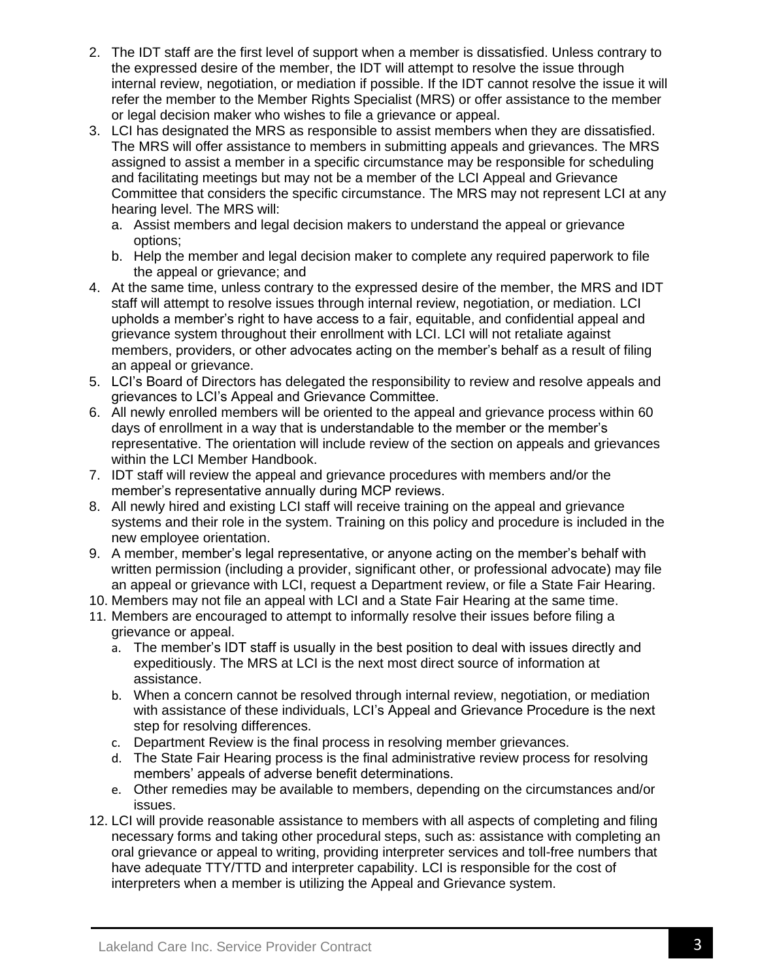- 2. The IDT staff are the first level of support when a member is dissatisfied. Unless contrary to the expressed desire of the member, the IDT will attempt to resolve the issue through internal review, negotiation, or mediation if possible. If the IDT cannot resolve the issue it will refer the member to the Member Rights Specialist (MRS) or offer assistance to the member or legal decision maker who wishes to file a grievance or appeal.
- 3. LCI has designated the MRS as responsible to assist members when they are dissatisfied. The MRS will offer assistance to members in submitting appeals and grievances. The MRS assigned to assist a member in a specific circumstance may be responsible for scheduling and facilitating meetings but may not be a member of the LCI Appeal and Grievance Committee that considers the specific circumstance. The MRS may not represent LCI at any hearing level. The MRS will:
	- a. Assist members and legal decision makers to understand the appeal or grievance options;
	- b. Help the member and legal decision maker to complete any required paperwork to file the appeal or grievance; and
- 4. At the same time, unless contrary to the expressed desire of the member, the MRS and IDT staff will attempt to resolve issues through internal review, negotiation, or mediation. LCI upholds a member's right to have access to a fair, equitable, and confidential appeal and grievance system throughout their enrollment with LCI. LCI will not retaliate against members, providers, or other advocates acting on the member's behalf as a result of filing an appeal or grievance.
- 5. LCI's Board of Directors has delegated the responsibility to review and resolve appeals and grievances to LCI's Appeal and Grievance Committee.
- 6. All newly enrolled members will be oriented to the appeal and grievance process within 60 days of enrollment in a way that is understandable to the member or the member's representative. The orientation will include review of the section on appeals and grievances within the LCI Member Handbook.
- 7. IDT staff will review the appeal and grievance procedures with members and/or the member's representative annually during MCP reviews.
- 8. All newly hired and existing LCI staff will receive training on the appeal and grievance systems and their role in the system. Training on this policy and procedure is included in the new employee orientation.
- 9. A member, member's legal representative, or anyone acting on the member's behalf with written permission (including a provider, significant other, or professional advocate) may file an appeal or grievance with LCI, request a Department review, or file a State Fair Hearing.
- 10. Members may not file an appeal with LCI and a State Fair Hearing at the same time.
- 11. Members are encouraged to attempt to informally resolve their issues before filing a grievance or appeal.
	- a. The member's IDT staff is usually in the best position to deal with issues directly and expeditiously. The MRS at LCI is the next most direct source of information at assistance.
	- b. When a concern cannot be resolved through internal review, negotiation, or mediation with assistance of these individuals, LCI's Appeal and Grievance Procedure is the next step for resolving differences.
	- c. Department Review is the final process in resolving member grievances.
	- d. The State Fair Hearing process is the final administrative review process for resolving members' appeals of adverse benefit determinations.
	- e. Other remedies may be available to members, depending on the circumstances and/or issues.
- 12. LCI will provide reasonable assistance to members with all aspects of completing and filing necessary forms and taking other procedural steps, such as: assistance with completing an oral grievance or appeal to writing, providing interpreter services and toll-free numbers that have adequate TTY/TTD and interpreter capability. LCI is responsible for the cost of interpreters when a member is utilizing the Appeal and Grievance system.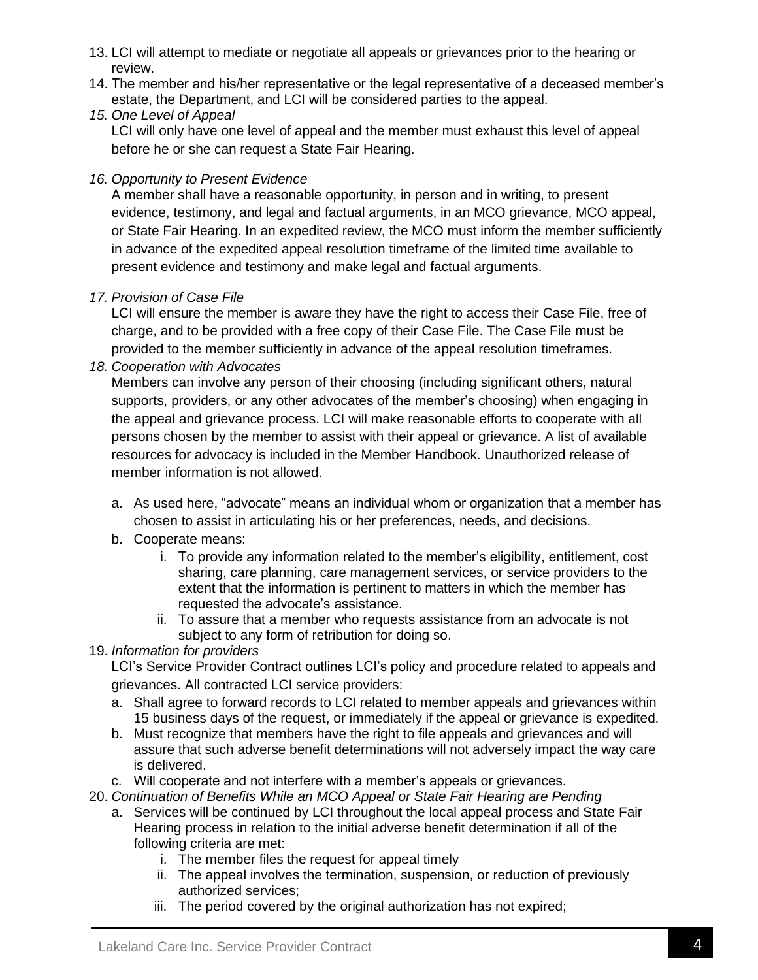- 13. LCI will attempt to mediate or negotiate all appeals or grievances prior to the hearing or review.
- 14. The member and his/her representative or the legal representative of a deceased member's estate, the Department, and LCI will be considered parties to the appeal.
- *15. One Level of Appeal* LCI will only have one level of appeal and the member must exhaust this level of appeal before he or she can request a State Fair Hearing.

## *16. Opportunity to Present Evidence*

A member shall have a reasonable opportunity, in person and in writing, to present evidence, testimony, and legal and factual arguments, in an MCO grievance, MCO appeal, or State Fair Hearing. In an expedited review, the MCO must inform the member sufficiently in advance of the expedited appeal resolution timeframe of the limited time available to present evidence and testimony and make legal and factual arguments.

## *17. Provision of Case File*

LCI will ensure the member is aware they have the right to access their Case File, free of charge, and to be provided with a free copy of their Case File. The Case File must be provided to the member sufficiently in advance of the appeal resolution timeframes.

*18. Cooperation with Advocates*

Members can involve any person of their choosing (including significant others, natural supports, providers, or any other advocates of the member's choosing) when engaging in the appeal and grievance process. LCI will make reasonable efforts to cooperate with all persons chosen by the member to assist with their appeal or grievance. A list of available resources for advocacy is included in the Member Handbook. Unauthorized release of member information is not allowed.

- a. As used here, "advocate" means an individual whom or organization that a member has chosen to assist in articulating his or her preferences, needs, and decisions.
- b. Cooperate means:
	- i. To provide any information related to the member's eligibility, entitlement, cost sharing, care planning, care management services, or service providers to the extent that the information is pertinent to matters in which the member has requested the advocate's assistance.
	- ii. To assure that a member who requests assistance from an advocate is not subject to any form of retribution for doing so.

# 19. *Information for providers*

LCI's Service Provider Contract outlines LCI's policy and procedure related to appeals and grievances. All contracted LCI service providers:

- a. Shall agree to forward records to LCI related to member appeals and grievances within 15 business days of the request, or immediately if the appeal or grievance is expedited.
- b. Must recognize that members have the right to file appeals and grievances and will assure that such adverse benefit determinations will not adversely impact the way care is delivered.
- c. Will cooperate and not interfere with a member's appeals or grievances.
- 20. *Continuation of Benefits While an MCO Appeal or State Fair Hearing are Pending*
	- a. Services will be continued by LCI throughout the local appeal process and State Fair Hearing process in relation to the initial adverse benefit determination if all of the following criteria are met:
		- i. The member files the request for appeal timely
		- ii. The appeal involves the termination, suspension, or reduction of previously authorized services;
		- iii. The period covered by the original authorization has not expired;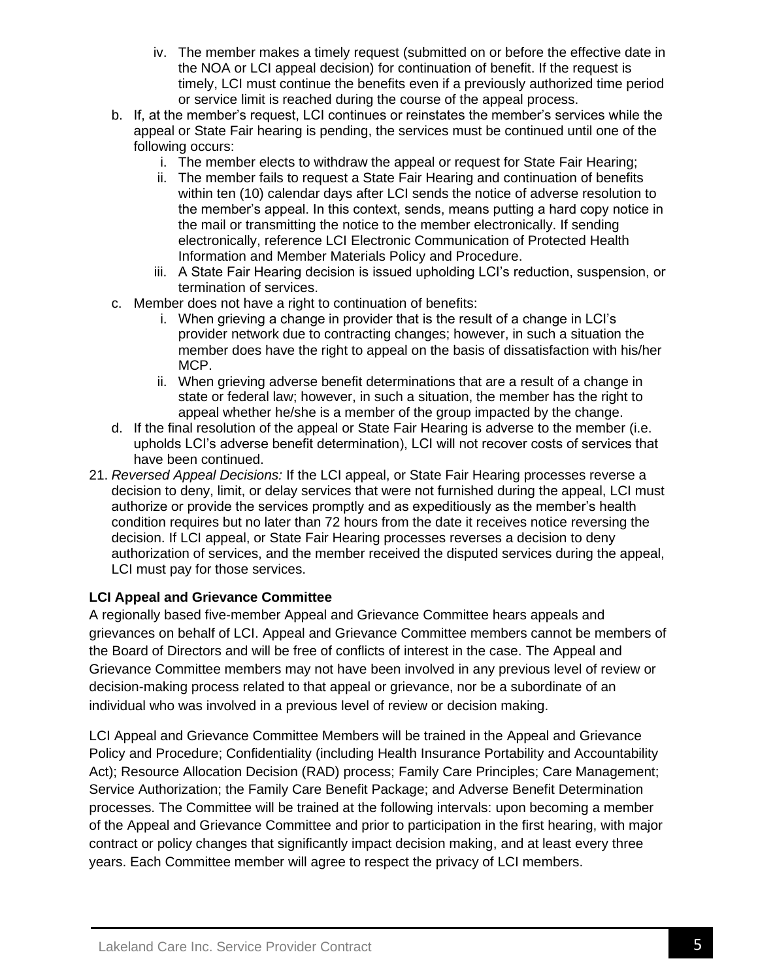- iv. The member makes a timely request (submitted on or before the effective date in the NOA or LCI appeal decision) for continuation of benefit. If the request is timely, LCI must continue the benefits even if a previously authorized time period or service limit is reached during the course of the appeal process.
- b. If, at the member's request, LCI continues or reinstates the member's services while the appeal or State Fair hearing is pending, the services must be continued until one of the following occurs:
	- i. The member elects to withdraw the appeal or request for State Fair Hearing;
	- ii. The member fails to request a State Fair Hearing and continuation of benefits within ten (10) calendar days after LCI sends the notice of adverse resolution to the member's appeal. In this context, sends, means putting a hard copy notice in the mail or transmitting the notice to the member electronically. If sending electronically, reference LCI Electronic Communication of Protected Health Information and Member Materials Policy and Procedure.
	- iii. A State Fair Hearing decision is issued upholding LCI's reduction, suspension, or termination of services.
- c. Member does not have a right to continuation of benefits:
	- i. When grieving a change in provider that is the result of a change in LCI's provider network due to contracting changes; however, in such a situation the member does have the right to appeal on the basis of dissatisfaction with his/her MCP.
	- ii. When grieving adverse benefit determinations that are a result of a change in state or federal law; however, in such a situation, the member has the right to appeal whether he/she is a member of the group impacted by the change.
- d. If the final resolution of the appeal or State Fair Hearing is adverse to the member (i.e. upholds LCI's adverse benefit determination), LCI will not recover costs of services that have been continued.
- 21. *Reversed Appeal Decisions:* If the LCI appeal, or State Fair Hearing processes reverse a decision to deny, limit, or delay services that were not furnished during the appeal, LCI must authorize or provide the services promptly and as expeditiously as the member's health condition requires but no later than 72 hours from the date it receives notice reversing the decision. If LCI appeal, or State Fair Hearing processes reverses a decision to deny authorization of services, and the member received the disputed services during the appeal, LCI must pay for those services.

### **LCI Appeal and Grievance Committee**

A regionally based five-member Appeal and Grievance Committee hears appeals and grievances on behalf of LCI. Appeal and Grievance Committee members cannot be members of the Board of Directors and will be free of conflicts of interest in the case. The Appeal and Grievance Committee members may not have been involved in any previous level of review or decision-making process related to that appeal or grievance, nor be a subordinate of an individual who was involved in a previous level of review or decision making.

LCI Appeal and Grievance Committee Members will be trained in the Appeal and Grievance Policy and Procedure; Confidentiality (including Health Insurance Portability and Accountability Act); Resource Allocation Decision (RAD) process; Family Care Principles; Care Management; Service Authorization; the Family Care Benefit Package; and Adverse Benefit Determination processes. The Committee will be trained at the following intervals: upon becoming a member of the Appeal and Grievance Committee and prior to participation in the first hearing, with major contract or policy changes that significantly impact decision making, and at least every three years. Each Committee member will agree to respect the privacy of LCI members.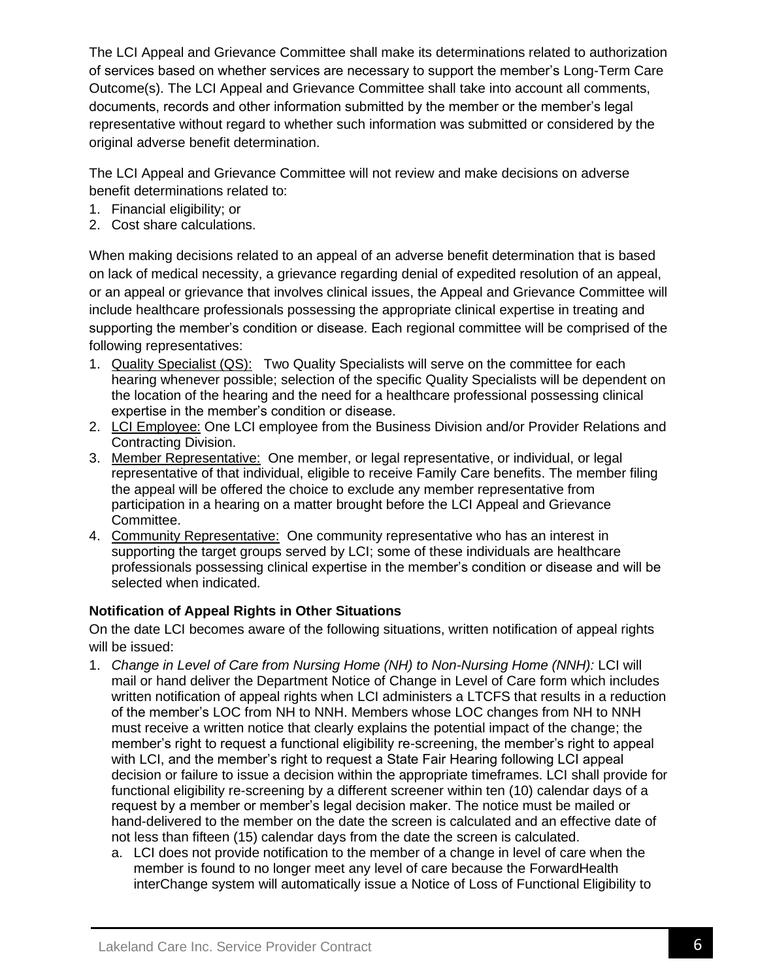The LCI Appeal and Grievance Committee shall make its determinations related to authorization of services based on whether services are necessary to support the member's Long-Term Care Outcome(s). The LCI Appeal and Grievance Committee shall take into account all comments, documents, records and other information submitted by the member or the member's legal representative without regard to whether such information was submitted or considered by the original adverse benefit determination.

The LCI Appeal and Grievance Committee will not review and make decisions on adverse benefit determinations related to:

- 1. Financial eligibility; or
- 2. Cost share calculations.

When making decisions related to an appeal of an adverse benefit determination that is based on lack of medical necessity, a grievance regarding denial of expedited resolution of an appeal, or an appeal or grievance that involves clinical issues, the Appeal and Grievance Committee will include healthcare professionals possessing the appropriate clinical expertise in treating and supporting the member's condition or disease. Each regional committee will be comprised of the following representatives:

- 1. Quality Specialist (QS): Two Quality Specialists will serve on the committee for each hearing whenever possible; selection of the specific Quality Specialists will be dependent on the location of the hearing and the need for a healthcare professional possessing clinical expertise in the member's condition or disease.
- 2. LCI Employee: One LCI employee from the Business Division and/or Provider Relations and Contracting Division.
- 3. Member Representative: One member, or legal representative, or individual, or legal representative of that individual, eligible to receive Family Care benefits. The member filing the appeal will be offered the choice to exclude any member representative from participation in a hearing on a matter brought before the LCI Appeal and Grievance Committee.
- 4. Community Representative: One community representative who has an interest in supporting the target groups served by LCI; some of these individuals are healthcare professionals possessing clinical expertise in the member's condition or disease and will be selected when indicated.

## **Notification of Appeal Rights in Other Situations**

On the date LCI becomes aware of the following situations, written notification of appeal rights will be issued:

- 1. *Change in Level of Care from Nursing Home (NH) to Non-Nursing Home (NNH):* LCI will mail or hand deliver the Department Notice of Change in Level of Care form which includes written notification of appeal rights when LCI administers a LTCFS that results in a reduction of the member's LOC from NH to NNH. Members whose LOC changes from NH to NNH must receive a written notice that clearly explains the potential impact of the change; the member's right to request a functional eligibility re-screening, the member's right to appeal with LCI, and the member's right to request a State Fair Hearing following LCI appeal decision or failure to issue a decision within the appropriate timeframes. LCI shall provide for functional eligibility re-screening by a different screener within ten (10) calendar days of a request by a member or member's legal decision maker. The notice must be mailed or hand-delivered to the member on the date the screen is calculated and an effective date of not less than fifteen (15) calendar days from the date the screen is calculated.
	- a. LCI does not provide notification to the member of a change in level of care when the member is found to no longer meet any level of care because the ForwardHealth interChange system will automatically issue a Notice of Loss of Functional Eligibility to